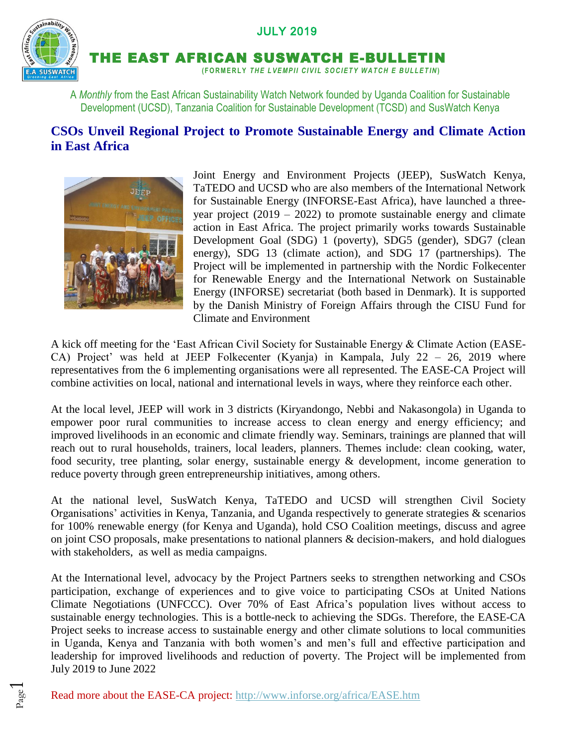## JULY 2019



Page  $\overline{\phantom{0}}$ 

THE EAST AFRICAN SUSWATCH E-BULLETIN

**( F O R M E R L Y** *T H E L V E MP I I C I V I L S OC I E T Y W A T C H E B U L L E T IN***)**

A *Monthly* from the East African Sustainability Watch Network founded by Uganda Coalition for Sustainable Development (UCSD), Tanzania Coalition for Sustainable Development (TCSD) and SusWatch Kenya

## **CSOs Unveil Regional Project to Promote Sustainable Energy and Climate Action in East Africa**



Joint Energy and Environment Projects (JEEP), SusWatch Kenya, TaTEDO and UCSD who are also members of the International Network for Sustainable Energy (INFORSE-East Africa), have launched a threeyear project  $(2019 - 2022)$  to promote sustainable energy and climate action in East Africa. The project primarily works towards Sustainable Development Goal (SDG) 1 (poverty), SDG5 (gender), SDG7 (clean energy), SDG 13 (climate action), and SDG 17 (partnerships). The Project will be implemented in partnership with the Nordic Folkecenter for Renewable Energy and the International Network on Sustainable Energy (INFORSE) secretariat (both based in Denmark). It is supported by the Danish Ministry of Foreign Affairs through the CISU Fund for Climate and Environment

A kick off meeting for the 'East African Civil Society for Sustainable Energy & Climate Action (EASE-CA) Project' was held at JEEP Folkecenter (Kyanja) in Kampala, July 22 – 26, 2019 where representatives from the 6 implementing organisations were all represented. The EASE-CA Project will combine activities on local, national and international levels in ways, where they reinforce each other.

At the local level, JEEP will work in 3 districts (Kiryandongo, Nebbi and Nakasongola) in Uganda to empower poor rural communities to increase access to clean energy and energy efficiency; and improved livelihoods in an economic and climate friendly way. Seminars, trainings are planned that will reach out to rural households, trainers, local leaders, planners. Themes include: clean cooking, water, food security, tree planting, solar energy, sustainable energy & development, income generation to reduce poverty through green entrepreneurship initiatives, among others.

At the national level, SusWatch Kenya, TaTEDO and UCSD will strengthen Civil Society Organisations' activities in Kenya, Tanzania, and Uganda respectively to generate strategies & scenarios for 100% renewable energy (for Kenya and Uganda), hold CSO Coalition meetings, discuss and agree on joint CSO proposals, make presentations to national planners & decision-makers, and hold dialogues with stakeholders, as well as media campaigns.

At the International level, advocacy by the Project Partners seeks to strengthen networking and CSOs participation, exchange of experiences and to give voice to participating CSOs at United Nations Climate Negotiations (UNFCCC). Over 70% of East Africa's population lives without access to sustainable energy technologies. This is a bottle-neck to achieving the SDGs. Therefore, the EASE-CA Project seeks to increase access to sustainable energy and other climate solutions to local communities in Uganda, Kenya and Tanzania with both women's and men's full and effective participation and leadership for improved livelihoods and reduction of poverty. The Project will be implemented from July 2019 to June 2022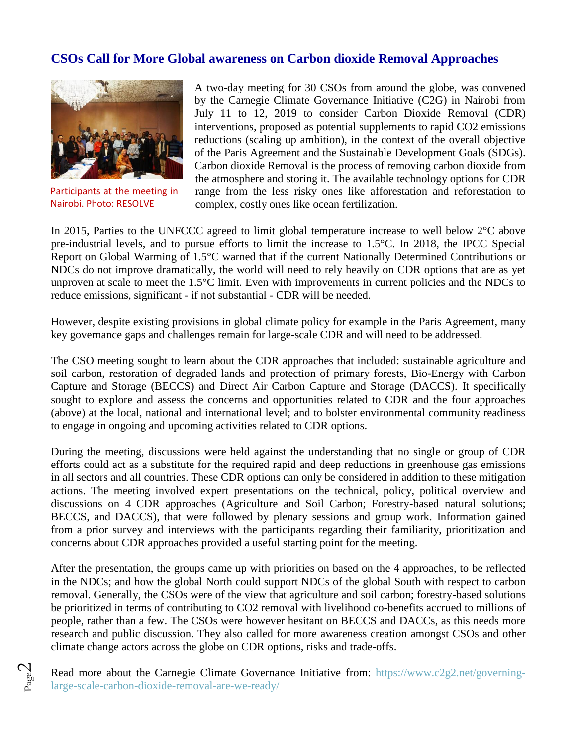## **CSOs Call for More Global awareness on Carbon dioxide Removal Approaches**



Participants at the meeting in Nairobi. Photo: RESOLVE

Page  $\mathbin{\vartriangle}$ 

A two-day meeting for 30 CSOs from around the globe, was convened by the Carnegie Climate Governance Initiative (C2G) in Nairobi from July 11 to 12, 2019 to consider Carbon Dioxide Removal (CDR) interventions, proposed as potential supplements to rapid CO2 emissions reductions (scaling up ambition), in the context of the overall objective of the Paris Agreement and the Sustainable Development Goals (SDGs). Carbon dioxide Removal is the process of removing carbon dioxide from the atmosphere and storing it. The available technology options for CDR range from the less risky ones like afforestation and reforestation to complex, costly ones like ocean fertilization.

In 2015, Parties to the UNFCCC agreed to limit global temperature increase to well below 2°C above pre-industrial levels, and to pursue efforts to limit the increase to 1.5°C. In 2018, the IPCC Special Report on Global Warming of 1.5°C warned that if the current Nationally Determined Contributions or NDCs do not improve dramatically, the world will need to rely heavily on CDR options that are as yet unproven at scale to meet the 1.5°C limit. Even with improvements in current policies and the NDCs to reduce emissions, significant - if not substantial - CDR will be needed.

However, despite existing provisions in global climate policy for example in the Paris Agreement, many key governance gaps and challenges remain for large-scale CDR and will need to be addressed.

The CSO meeting sought to learn about the CDR approaches that included: sustainable agriculture and soil carbon, restoration of degraded lands and protection of primary forests, Bio-Energy with Carbon Capture and Storage (BECCS) and Direct Air Carbon Capture and Storage (DACCS). It specifically sought to explore and assess the concerns and opportunities related to CDR and the four approaches (above) at the local, national and international level; and to bolster environmental community readiness to engage in ongoing and upcoming activities related to CDR options.

During the meeting, discussions were held against the understanding that no single or group of CDR efforts could act as a substitute for the required rapid and deep reductions in greenhouse gas emissions in all sectors and all countries. These CDR options can only be considered in addition to these mitigation actions. The meeting involved expert presentations on the technical, policy, political overview and discussions on 4 CDR approaches (Agriculture and Soil Carbon; Forestry-based natural solutions; BECCS, and DACCS), that were followed by plenary sessions and group work. Information gained from a prior survey and interviews with the participants regarding their familiarity, prioritization and concerns about CDR approaches provided a useful starting point for the meeting.

After the presentation, the groups came up with priorities on based on the 4 approaches, to be reflected in the NDCs; and how the global North could support NDCs of the global South with respect to carbon removal. Generally, the CSOs were of the view that agriculture and soil carbon; forestry-based solutions be prioritized in terms of contributing to CO2 removal with livelihood co-benefits accrued to millions of people, rather than a few. The CSOs were however hesitant on BECCS and DACCs, as this needs more research and public discussion. They also called for more awareness creation amongst CSOs and other climate change actors across the globe on CDR options, risks and trade-offs.

Read more about the Carnegie Climate Governance Initiative from: [https://www.c2g2.net/governing](https://www.c2g2.net/governing-large-scale-carbon-dioxide-removal-are-we-ready/)[large-scale-carbon-dioxide-removal-are-we-ready/](https://www.c2g2.net/governing-large-scale-carbon-dioxide-removal-are-we-ready/)